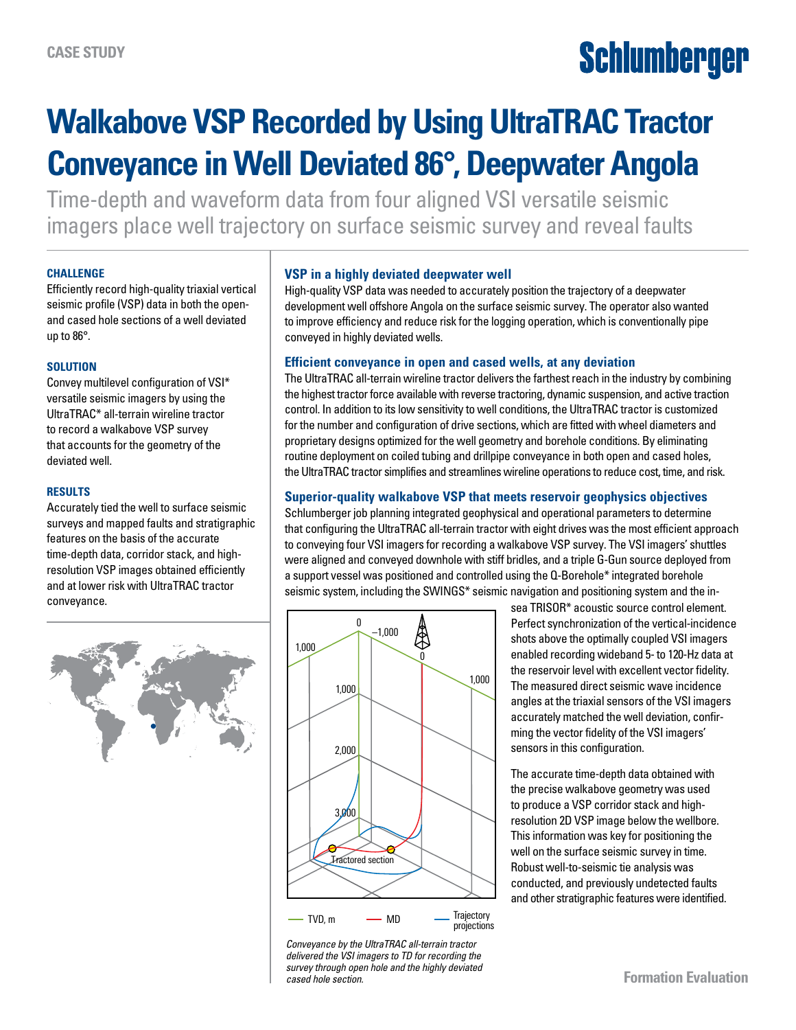# **Schlumberger**

### **Walkabove VSP Recorded by Using UltraTRAC Tractor Conveyance in Well Deviated 86°, Deepwater Angola**

Time-depth and waveform data from four aligned VSI versatile seismic imagers place well trajectory on surface seismic survey and reveal faults

#### **CHALLENGE**

Efficiently record high-quality triaxial vertical seismic profile (VSP) data in both the openand cased hole sections of a well deviated up to 86°.

#### **SOLUTION**

Convey multilevel configuration of VSI\* versatile seismic imagers by using the UltraTRAC\* all-terrain wireline tractor to record a walkabove VSP survey that accounts for the geometry of the deviated well.

#### **RESULTS**

Accurately tied the well to surface seismic surveys and mapped faults and stratigraphic features on the basis of the accurate time-depth data, corridor stack, and highresolution VSP images obtained efficiently and at lower risk with UltraTRAC tractor conveyance.



#### **VSP in a highly deviated deepwater well**

High-quality VSP data was needed to accurately position the trajectory of a deepwater development well offshore Angola on the surface seismic survey. The operator also wanted to improve efficiency and reduce risk for the logging operation, which is conventionally pipe conveyed in highly deviated wells.

#### **Efficient conveyance in open and cased wells, at any deviation**

The UltraTRAC all-terrain wireline tractor delivers the farthest reach in the industry by combining the highest tractor force available with reverse tractoring, dynamic suspension, and active traction control. In addition to its low sensitivity to well conditions, the UltraTRAC tractor is customized for the number and configuration of drive sections, which are fitted with wheel diameters and proprietary designs optimized for the well geometry and borehole conditions. By eliminating routine deployment on coiled tubing and drillpipe conveyance in both open and cased holes, the UltraTRAC tractor simplifies and streamlines wireline operations to reduce cost, time, and risk.

#### **Superior-quality walkabove VSP that meets reservoir geophysics objectives**

Schlumberger job planning integrated geophysical and operational parameters to determine that configuring the UltraTRAC all-terrain tractor with eight drives was the most efficient approach to conveying four VSI imagers for recording a walkabove VSP survey. The VSI imagers' shuttles were aligned and conveyed downhole with stiff bridles, and a triple G-Gun source deployed from a support vessel was positioned and controlled using the Q-Borehole\* integrated borehole seismic system, including the SWINGS\* seismic navigation and positioning system and the in-



*Conveyance by the UltraTRAC all-terrain tractor delivered the VSI imagers to TD for recording the survey through open hole and the highly deviated cased hole section.*

sea TRISOR\* acoustic source control element. Perfect synchronization of the vertical-incidence shots above the optimally coupled VSI imagers enabled recording wideband 5- to 120-Hz data at the reservoir level with excellent vector fidelity. The measured direct seismic wave incidence angles at the triaxial sensors of the VSI imagers accurately matched the well deviation, confirming the vector fidelity of the VSI imagers' sensors in this configuration.

The accurate time-depth data obtained with the precise walkabove geometry was used to produce a VSP corridor stack and highresolution 2D VSP image below the wellbore. This information was key for positioning the well on the surface seismic survey in time. Robust well-to-seismic tie analysis was conducted, and previously undetected faults and other stratigraphic features were identified.

**Formation Evaluation**